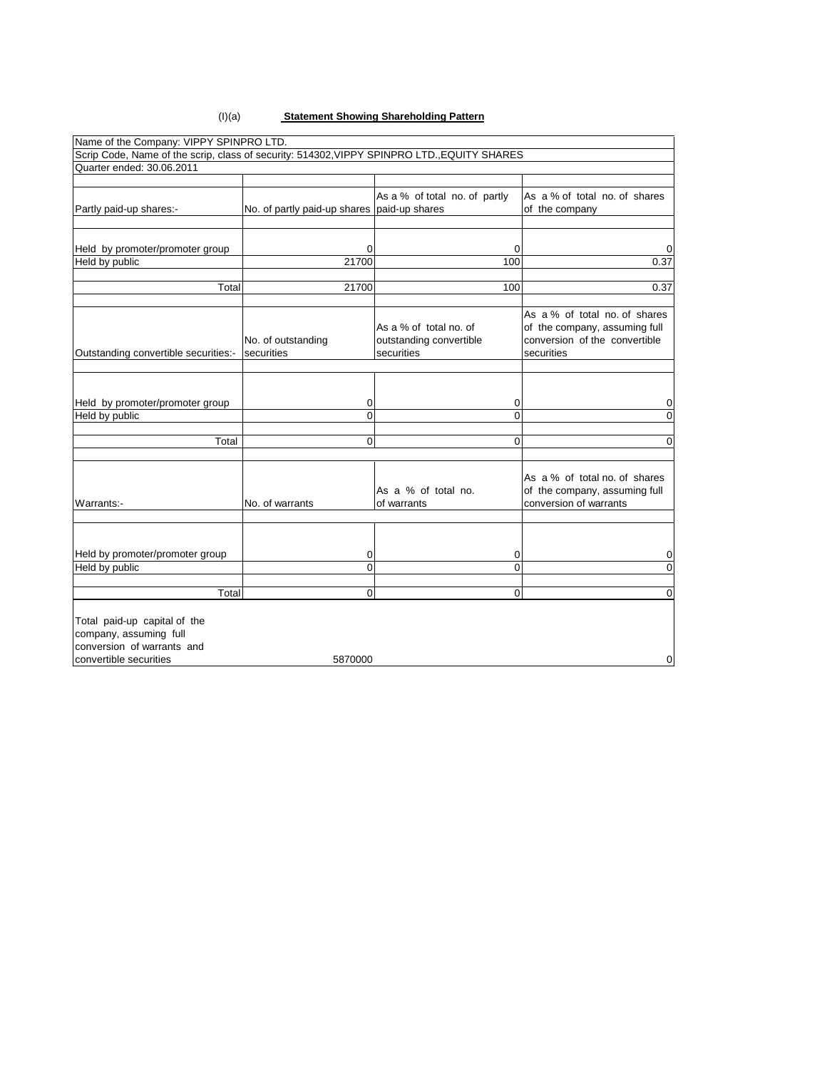#### (I)(a) **Statement Showing Shareholding Pattern**

|                                      |                                             | Scrip Code, Name of the scrip, class of security: 514302, VIPPY SPINPRO LTD., EQUITY SHARES |                                                                                                               |
|--------------------------------------|---------------------------------------------|---------------------------------------------------------------------------------------------|---------------------------------------------------------------------------------------------------------------|
| Quarter ended: 30.06.2011            |                                             |                                                                                             |                                                                                                               |
| Partly paid-up shares:-              | No. of partly paid-up shares paid-up shares | As a % of total no. of partly                                                               | As a % of total no. of shares<br>of the company                                                               |
|                                      |                                             |                                                                                             |                                                                                                               |
| Held by promoter/promoter group      | 0                                           | $\Omega$                                                                                    | 0                                                                                                             |
| Held by public                       | 21700                                       | 100                                                                                         | 0.37                                                                                                          |
|                                      |                                             |                                                                                             |                                                                                                               |
| Total                                | 21700                                       | 100                                                                                         | 0.37                                                                                                          |
| Outstanding convertible securities:- | No. of outstanding<br>securities            | As a % of total no. of<br>outstanding convertible<br>securities                             | As a % of total no. of shares<br>of the company, assuming full<br>conversion of the convertible<br>securities |
|                                      |                                             |                                                                                             |                                                                                                               |
|                                      |                                             |                                                                                             |                                                                                                               |
| Held by promoter/promoter group      | 0                                           | 0                                                                                           | 0                                                                                                             |
| Held by public                       | $\Omega$                                    | $\Omega$                                                                                    | $\Omega$                                                                                                      |
| Total                                | 0                                           | $\Omega$                                                                                    | 0                                                                                                             |
|                                      |                                             |                                                                                             |                                                                                                               |
| Warrants:-                           | No. of warrants                             | As a % of total no.<br>of warrants                                                          | As a % of total no. of shares<br>of the company, assuming full<br>conversion of warrants                      |
| Held by promoter/promoter group      | 0                                           | 0                                                                                           | 0                                                                                                             |
| Held by public                       | $\Omega$                                    | $\mathbf 0$                                                                                 | $\Omega$                                                                                                      |
|                                      | $\Omega$                                    | $\mathbf 0$                                                                                 | $\Omega$                                                                                                      |
| Total                                |                                             |                                                                                             |                                                                                                               |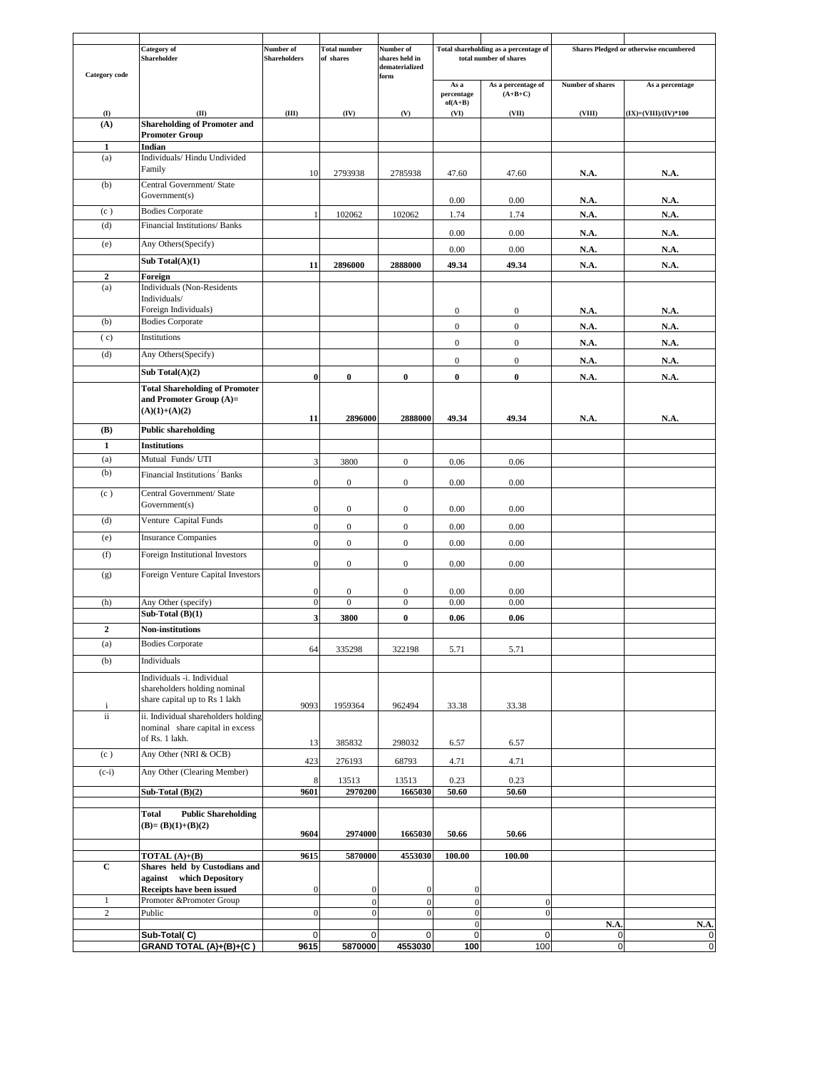| <b>Category</b> code | Category of<br>Shareholder                                                                  | Number of<br><b>Shareholders</b> | <b>Total number</b><br>of shares | Number of<br>shares held in<br>dematerialized |                                      | Total shareholding as a percentage of<br>total number of shares | Shares Pledged or otherwise encumbered |                          |
|----------------------|---------------------------------------------------------------------------------------------|----------------------------------|----------------------------------|-----------------------------------------------|--------------------------------------|-----------------------------------------------------------------|----------------------------------------|--------------------------|
|                      |                                                                                             |                                  |                                  | form                                          | As a<br>percentage                   | As a percentage of<br>$(A+B+C)$                                 | Number of shares                       | As a percentage          |
| $\bf(I)$             | (II)                                                                                        | (III)                            | (IV)                             | (V)                                           | $of(A+B)$<br>(VI)                    | (VII)                                                           | (VIII)                                 | $(IX) = (VIII)/(IV)*100$ |
| (A)                  | <b>Shareholding of Promoter and</b>                                                         |                                  |                                  |                                               |                                      |                                                                 |                                        |                          |
| $\mathbf{1}$         | <b>Promoter Group</b><br>Indian                                                             |                                  |                                  |                                               |                                      |                                                                 |                                        |                          |
| (a)                  | Individuals/ Hindu Undivided                                                                |                                  |                                  |                                               |                                      |                                                                 |                                        |                          |
|                      | Family                                                                                      | 10                               | 2793938                          | 2785938                                       | 47.60                                | 47.60                                                           | N.A.                                   | N.A.                     |
| (b)                  | Central Government/ State<br>Government(s)                                                  |                                  |                                  |                                               |                                      |                                                                 |                                        |                          |
| (c)                  | <b>Bodies Corporate</b>                                                                     | -1                               | 102062                           | 102062                                        | 0.00<br>1.74                         | 0.00<br>1.74                                                    | N.A.<br>N.A.                           | N.A.<br>N.A.             |
| (d)                  | Financial Institutions/ Banks                                                               |                                  |                                  |                                               | 0.00                                 | 0.00                                                            | N.A.                                   | N.A.                     |
| (e)                  | Any Others(Specify)                                                                         |                                  |                                  |                                               | 0.00                                 | $0.00\,$                                                        | N.A.                                   | N.A.                     |
|                      | Sub Total $(A)(1)$                                                                          | 11                               | 2896000                          | 2888000                                       | 49.34                                | 49.34                                                           | N.A.                                   | N.A.                     |
| $\mathbf 2$          | Foreign                                                                                     |                                  |                                  |                                               |                                      |                                                                 |                                        |                          |
| (a)                  | <b>Individuals</b> (Non-Residents<br>Individuals/                                           |                                  |                                  |                                               |                                      |                                                                 |                                        |                          |
| (b)                  | Foreign Individuals)<br><b>Bodies Corporate</b>                                             |                                  |                                  |                                               | $\boldsymbol{0}$                     | $\boldsymbol{0}$                                                | N.A.                                   | <b>N.A.</b>              |
| (c)                  | Institutions                                                                                |                                  |                                  |                                               | $\boldsymbol{0}$                     | $\overline{0}$                                                  | N.A.                                   | N.A.                     |
| (d)                  | Any Others(Specify)                                                                         |                                  |                                  |                                               | $\boldsymbol{0}$                     | $\boldsymbol{0}$                                                | N.A.                                   | N.A.                     |
|                      | Sub Total $(A)(2)$                                                                          |                                  |                                  |                                               | $\boldsymbol{0}$                     | $\boldsymbol{0}$                                                | <b>N.A.</b>                            | N.A.                     |
|                      | <b>Total Shareholding of Promoter</b>                                                       | $\bf{0}$                         | $\bf{0}$                         | $\bf{0}$                                      | $\bf{0}$                             | $\bf{0}$                                                        | N.A.                                   | N.A.                     |
|                      | and Promoter Group $(A)=$<br>$(A)(1)+(A)(2)$                                                | 11                               | 2896000                          | 2888000                                       | 49.34                                | 49.34                                                           | <b>N.A.</b>                            | N.A.                     |
| <b>(B)</b>           | <b>Public shareholding</b>                                                                  |                                  |                                  |                                               |                                      |                                                                 |                                        |                          |
| $\mathbf{1}$         | <b>Institutions</b>                                                                         |                                  |                                  |                                               |                                      |                                                                 |                                        |                          |
| (a)                  | Mutual Funds/ UTI                                                                           | 3                                | 3800                             | $\mathbf{0}$                                  | 0.06                                 | 0.06                                                            |                                        |                          |
| (b)                  | Financial Institutions <sup>'</sup> Banks                                                   | $\mathbf{0}$                     | $\boldsymbol{0}$                 | $\mathbf{0}$                                  | 0.00                                 | 0.00                                                            |                                        |                          |
| (c)                  | Central Government/ State<br>Government(s)                                                  | $\mathbf{0}$                     | $\boldsymbol{0}$                 | $\mathbf{0}$                                  | 0.00                                 | 0.00                                                            |                                        |                          |
| (d)                  | Venture Capital Funds                                                                       | $\theta$                         | $\boldsymbol{0}$                 | $\boldsymbol{0}$                              | 0.00                                 | 0.00                                                            |                                        |                          |
| (e)                  | <b>Insurance Companies</b>                                                                  | $\mathbf{0}$                     | $\boldsymbol{0}$                 | $\boldsymbol{0}$                              | 0.00                                 | 0.00                                                            |                                        |                          |
| (f)                  | Foreign Institutional Investors                                                             | $\mathbf{0}$                     | $\boldsymbol{0}$                 | $\mathbf{0}$                                  | 0.00                                 | 0.00                                                            |                                        |                          |
| (g)                  | Foreign Venture Capital Investors                                                           |                                  |                                  |                                               |                                      |                                                                 |                                        |                          |
|                      |                                                                                             | $\mathbf{0}$                     | $\boldsymbol{0}$                 | $\mathbf{0}$                                  | 0.00                                 | 0.00                                                            |                                        |                          |
| (h)                  | Any Other (specify)<br>Sub-Total $(B)(1)$                                                   | $\mathbf{0}$                     | $\boldsymbol{0}$                 | $\mathbf{0}$                                  | 0.00                                 | 0.00                                                            |                                        |                          |
| $\boldsymbol{2}$     |                                                                                             | 3                                | 3800                             | $\bf{0}$                                      | 0.06                                 | 0.06                                                            |                                        |                          |
|                      | Non-institutions                                                                            |                                  |                                  |                                               |                                      |                                                                 |                                        |                          |
| (a)<br>(b)           | <b>Bodies Corporate</b><br>Individuals                                                      | 64                               | 335298                           | 322198                                        | 5.71                                 | 5.71                                                            |                                        |                          |
|                      |                                                                                             |                                  |                                  |                                               |                                      |                                                                 |                                        |                          |
|                      | Individuals -i. Individual<br>shareholders holding nominal<br>share capital up to Rs 1 lakh | 9093                             | 1959364                          | 962494                                        | 33.38                                | 33.38                                                           |                                        |                          |
| $\mathbf{i}$<br>ii   | ii. Individual shareholders holding                                                         |                                  |                                  |                                               |                                      |                                                                 |                                        |                          |
|                      | nominal share capital in excess<br>of Rs. 1 lakh.                                           |                                  |                                  |                                               |                                      |                                                                 |                                        |                          |
| (c)                  | Any Other (NRI & OCB)                                                                       | 13                               | 385832                           | 298032                                        | 6.57                                 | 6.57                                                            |                                        |                          |
| $(c-i)$              | Any Other (Clearing Member)                                                                 | 423                              | 276193                           | 68793                                         | 4.71                                 | 4.71                                                            |                                        |                          |
|                      | Sub-Total (B)(2)                                                                            | 8<br>9601                        | 13513<br>2970200                 | 13513<br>1665030                              | 0.23<br>50.60                        | 0.23<br>50.60                                                   |                                        |                          |
|                      |                                                                                             |                                  |                                  |                                               |                                      |                                                                 |                                        |                          |
|                      | <b>Public Shareholding</b><br>Total<br>$(B)=(B)(1)+(B)(2)$                                  | 9604                             | 2974000                          | 1665030                                       | 50.66                                | 50.66                                                           |                                        |                          |
|                      | TOTAL $(A)+(B)$                                                                             | 9615                             | 5870000                          | 4553030                                       | 100.00                               | 100.00                                                          |                                        |                          |
| $\mathbf C$          | Shares held by Custodians and<br>against which Depository                                   | $\mathbf{0}$                     | $\mathbf{0}$                     |                                               |                                      |                                                                 |                                        |                          |
| $\mathbf{1}$         | Receipts have been issued<br>Promoter &Promoter Group                                       |                                  | $\boldsymbol{0}$                 | $\mathbf{0}$<br>$\boldsymbol{0}$              | $\boldsymbol{0}$<br>$\boldsymbol{0}$ | $\mathbf{0}$                                                    |                                        |                          |
| $\sqrt{2}$           | Public                                                                                      | $\theta$                         | $\mathbf{0}$                     | $\mathbf{0}$                                  | $\boldsymbol{0}$                     | $\boldsymbol{0}$                                                |                                        |                          |
|                      |                                                                                             |                                  |                                  |                                               | $\boldsymbol{0}$                     |                                                                 | N.A.                                   | N.A.                     |
|                      | Sub-Total(C)<br>GRAND TOTAL (A)+(B)+(C)                                                     | $\mathbf 0$<br>9615              | $\mathbf 0$<br>5870000           | $\mathbf 0$<br>4553030                        | $\mathbf 0$<br>100                   | $\mathbf 0$<br>100                                              | $\pmb{0}$<br>$\mathbf 0$               | $\pmb{0}$<br>$\pmb{0}$   |
|                      |                                                                                             |                                  |                                  |                                               |                                      |                                                                 |                                        |                          |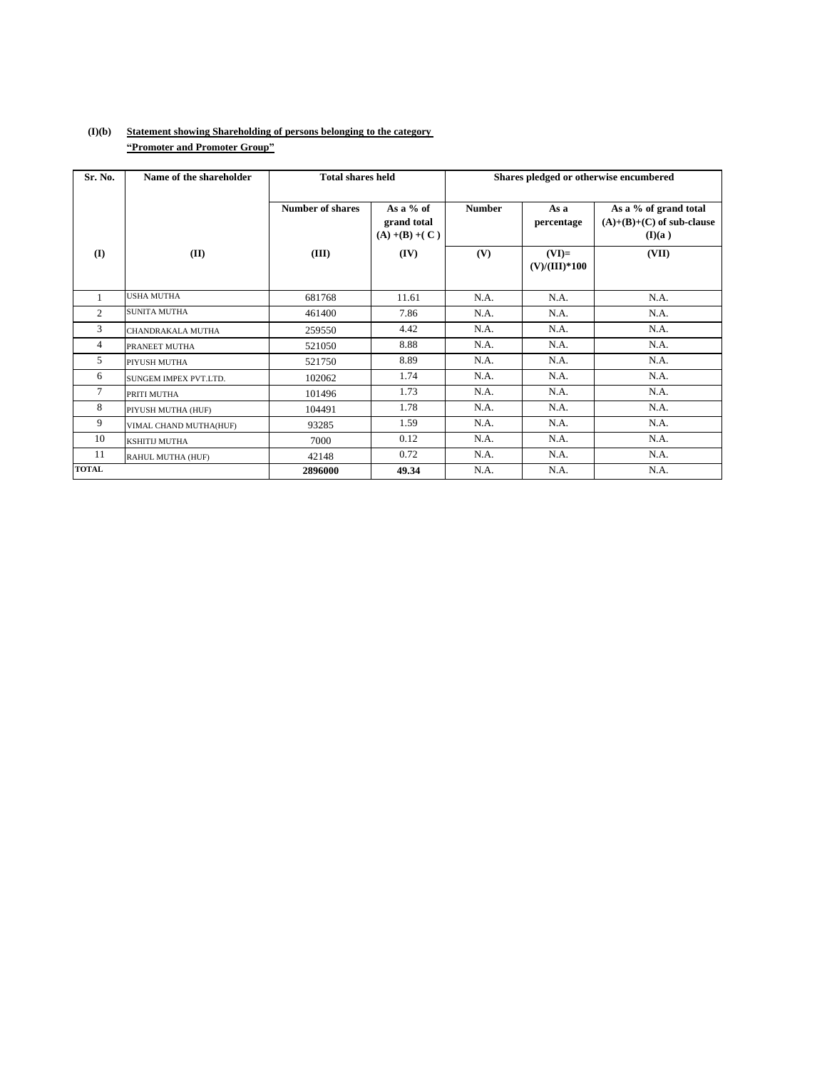## **(I)(b) Statement showing Shareholding of persons belonging to the category ìPromoter and Promoter Groupî**

| Sr. No.        | Name of the shareholder      | <b>Total shares held</b> |                                                 |               | Shares pledged or otherwise encumbered |                                                                |  |  |
|----------------|------------------------------|--------------------------|-------------------------------------------------|---------------|----------------------------------------|----------------------------------------------------------------|--|--|
|                |                              | <b>Number of shares</b>  | As a $%$ of<br>grand total<br>$(A) + (B) + (C)$ | <b>Number</b> | As a<br>percentage                     | As a % of grand total<br>$(A)+(B)+(C)$ of sub-clause<br>(I)(a) |  |  |
| (I)            | (II)                         | (III)                    | (IV)                                            | (V)           | $(VI)=$<br>$(V)/(III)*100$             | (VII)                                                          |  |  |
|                | <b>USHA MUTHA</b>            | 681768                   | 11.61                                           | N.A.          | N.A.                                   | N.A.                                                           |  |  |
| 2              | <b>SUNITA MUTHA</b>          | 461400                   | 7.86                                            | N.A.          | N.A.                                   | N.A.                                                           |  |  |
| 3              | <b>CHANDRAKALA MUTHA</b>     | 259550                   | 4.42                                            | N.A.          | N.A.                                   | N.A.                                                           |  |  |
| $\overline{4}$ | PRANEET MUTHA                | 521050                   | 8.88                                            | N.A.          | N.A.                                   | N.A.                                                           |  |  |
| 5              | PIYUSH MUTHA                 | 521750                   | 8.89                                            | N.A.          | N.A.                                   | N.A.                                                           |  |  |
| 6              | <b>SUNGEM IMPEX PVT.LTD.</b> | 102062                   | 1.74                                            | N.A.          | N.A.                                   | N.A.                                                           |  |  |
| 7              | PRITI MUTHA                  | 101496                   | 1.73                                            | N.A.          | N.A.                                   | N.A.                                                           |  |  |
| 8              | PIYUSH MUTHA (HUF)           | 104491                   | 1.78                                            | N.A.          | N.A.                                   | N.A.                                                           |  |  |
| 9              | VIMAL CHAND MUTHA(HUF)       | 93285                    | 1.59                                            | N.A.          | N.A.                                   | N.A.                                                           |  |  |
| 10             | <b>KSHITIJ MUTHA</b>         | 7000                     | 0.12                                            | N.A.          | N.A.                                   | N.A.                                                           |  |  |
| 11             | RAHUL MUTHA (HUF)            | 42148                    | 0.72                                            | N.A.          | N.A.                                   | N.A.                                                           |  |  |
| <b>TOTAL</b>   |                              | 2896000                  | 49.34                                           | N.A.          | N.A.                                   | N.A.                                                           |  |  |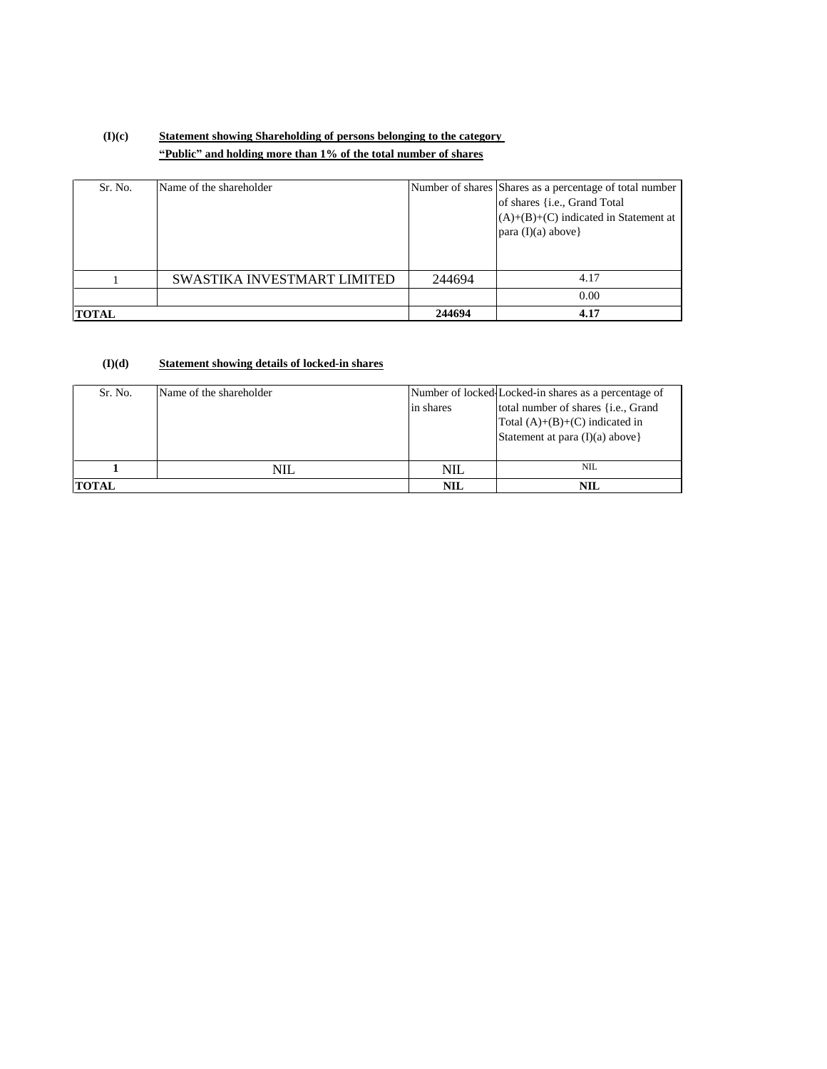# **(I)(c) Statement showing Shareholding of persons belonging to the category ìPublicî and holding more than 1% of the total number of shares**

| Sr. No.      | Name of the shareholder     |        | Number of shares Shares as a percentage of total number<br>of shares { <i>i.e.</i> , Grand Total<br>$(A)+(B)+(C)$ indicated in Statement at<br>para $(I)(a)$ above} |
|--------------|-----------------------------|--------|---------------------------------------------------------------------------------------------------------------------------------------------------------------------|
|              | SWASTIKA INVESTMART LIMITED | 244694 | 4.17                                                                                                                                                                |
|              |                             |        | 0.00                                                                                                                                                                |
| <b>TOTAL</b> |                             | 244694 | 4.17                                                                                                                                                                |

#### **(I)(d) Statement showing details of locked-in shares**

| Sr. No.      | Name of the shareholder | in shares  | Number of locked Locked-in shares as a percentage of<br>total number of shares { <i>i.e.</i> , Grand<br>Total $(A)+(B)+(C)$ indicated in<br>Statement at para $(I)(a)$ above} |
|--------------|-------------------------|------------|-------------------------------------------------------------------------------------------------------------------------------------------------------------------------------|
|              | NIL.                    | NIL        | <b>NIL</b>                                                                                                                                                                    |
| <b>TOTAL</b> |                         | <b>NIL</b> | <b>NIL</b>                                                                                                                                                                    |